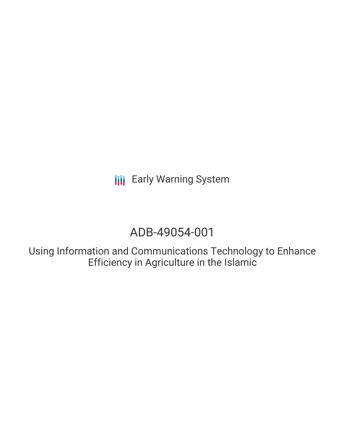# ADB-49054-001

Using Information and Communications Technology to Enhance Efficiency in Agriculture in the Islamic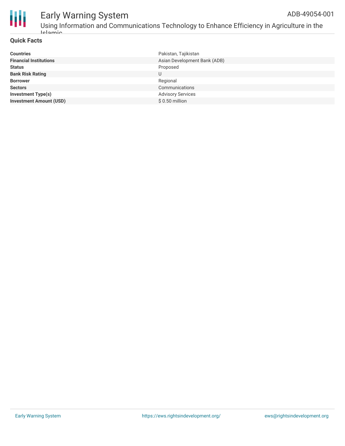

Using Information and Communications Technology to Enhance Efficiency in Agriculture in the Islamic

#### **Quick Facts**

| <b>Countries</b>               | Pakistan, Tajikistan         |
|--------------------------------|------------------------------|
| <b>Financial Institutions</b>  | Asian Development Bank (ADB) |
| <b>Status</b>                  | Proposed                     |
| <b>Bank Risk Rating</b>        | U                            |
| <b>Borrower</b>                | Regional                     |
| <b>Sectors</b>                 | Communications               |
| <b>Investment Type(s)</b>      | <b>Advisory Services</b>     |
| <b>Investment Amount (USD)</b> | $$0.50$ million              |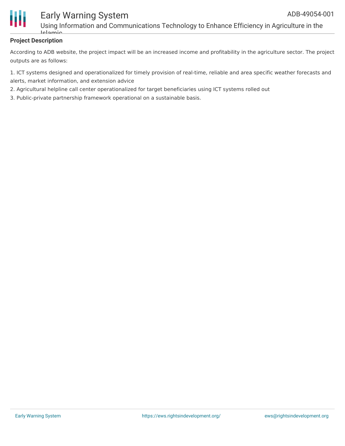

Using Information and Communications Technology to Enhance Efficiency in Agriculture in the Islamic

#### **Project Description**

According to ADB website, the project impact will be an increased income and profitability in the agriculture sector. The project outputs are as follows:

1. ICT systems designed and operationalized for timely provision of real-time, reliable and area specific weather forecasts and alerts, market information, and extension advice

2. Agricultural helpline call center operationalized for target beneficiaries using ICT systems rolled out

3. Public-private partnership framework operational on a sustainable basis.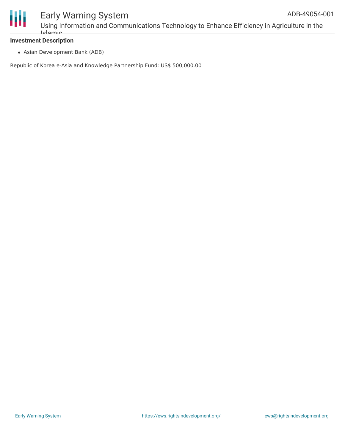

Using Information and Communications Technology to Enhance Efficiency in Agriculture in the Islamic

#### **Investment Description**

Asian Development Bank (ADB)

Republic of Korea e-Asia and Knowledge Partnership Fund: US\$ 500,000.00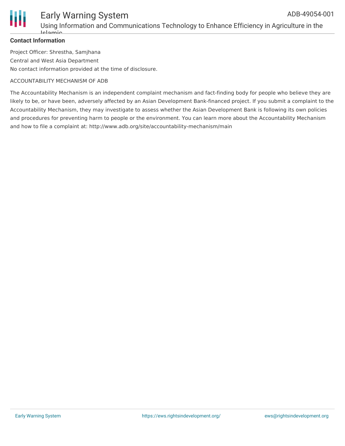

Using Information and Communications Technology to Enhance Efficiency in Agriculture in the Islamic

#### **Contact Information**

Project Officer: Shrestha, Samjhana Central and West Asia Department No contact information provided at the time of disclosure.

#### ACCOUNTABILITY MECHANISM OF ADB

The Accountability Mechanism is an independent complaint mechanism and fact-finding body for people who believe they are likely to be, or have been, adversely affected by an Asian Development Bank-financed project. If you submit a complaint to the Accountability Mechanism, they may investigate to assess whether the Asian Development Bank is following its own policies and procedures for preventing harm to people or the environment. You can learn more about the Accountability Mechanism and how to file a complaint at: http://www.adb.org/site/accountability-mechanism/main